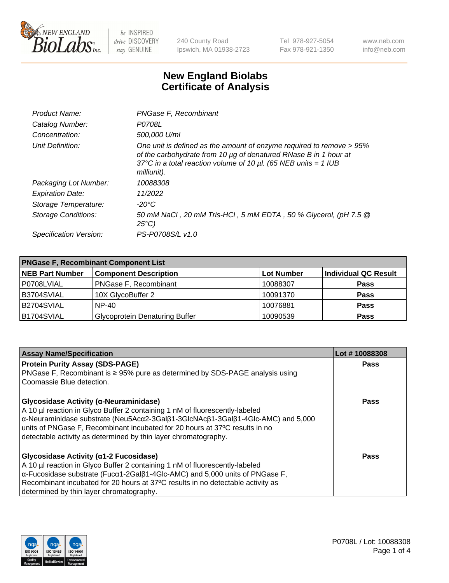

240 County Road Ipswich, MA 01938-2723 Tel 978-927-5054 Fax 978-921-1350 www.neb.com info@neb.com

## **New England Biolabs Certificate of Analysis**

| Product Name:           | PNGase F, Recombinant                                                                                                                                                                                                           |
|-------------------------|---------------------------------------------------------------------------------------------------------------------------------------------------------------------------------------------------------------------------------|
| Catalog Number:         | P0708L                                                                                                                                                                                                                          |
| Concentration:          | 500,000 U/ml                                                                                                                                                                                                                    |
| Unit Definition:        | One unit is defined as the amount of enzyme required to remove > 95%<br>of the carbohydrate from 10 µg of denatured RNase B in 1 hour at<br>37°C in a total reaction volume of 10 $\mu$ l. (65 NEB units = 1 IUB<br>milliunit). |
| Packaging Lot Number:   | 10088308                                                                                                                                                                                                                        |
| <b>Expiration Date:</b> | 11/2022                                                                                                                                                                                                                         |
| Storage Temperature:    | $-20^{\circ}$ C                                                                                                                                                                                                                 |
| Storage Conditions:     | 50 mM NaCl, 20 mM Tris-HCl, 5 mM EDTA, 50 % Glycerol, (pH 7.5 @<br>$25^{\circ}C$                                                                                                                                                |
| Specification Version:  | PS-P0708S/L v1.0                                                                                                                                                                                                                |

| <b>PNGase F, Recombinant Component List</b> |                                       |                   |                             |  |
|---------------------------------------------|---------------------------------------|-------------------|-----------------------------|--|
| <b>NEB Part Number</b>                      | <b>Component Description</b>          | <b>Lot Number</b> | <b>Individual QC Result</b> |  |
| P0708LVIAL                                  | <b>PNGase F, Recombinant</b>          | 10088307          | <b>Pass</b>                 |  |
| B3704SVIAL                                  | 10X GlycoBuffer 2                     | 10091370          | <b>Pass</b>                 |  |
| B2704SVIAL                                  | $NP-40$                               | 10076881          | <b>Pass</b>                 |  |
| B1704SVIAL                                  | <b>Glycoprotein Denaturing Buffer</b> | 10090539          | <b>Pass</b>                 |  |

| <b>Assay Name/Specification</b>                                                                                          | Lot #10088308 |
|--------------------------------------------------------------------------------------------------------------------------|---------------|
| <b>Protein Purity Assay (SDS-PAGE)</b>                                                                                   | <b>Pass</b>   |
| PNGase F, Recombinant is $\geq 95\%$ pure as determined by SDS-PAGE analysis using                                       |               |
| Coomassie Blue detection.                                                                                                |               |
| <b>Glycosidase Activity (α-Neuraminidase)</b>                                                                            | <b>Pass</b>   |
| A 10 µl reaction in Glyco Buffer 2 containing 1 nM of fluorescently-labeled                                              |               |
| $\alpha$ -Neuraminidase substrate (Neu5Ac $\alpha$ 2-3Gal $\beta$ 1-3GlcNAc $\beta$ 1-3Gal $\beta$ 1-4Glc-AMC) and 5,000 |               |
| units of PNGase F, Recombinant incubated for 20 hours at 37°C results in no                                              |               |
| detectable activity as determined by thin layer chromatography.                                                          |               |
| <b>Glycosidase Activity (α1-2 Fucosidase)</b>                                                                            | Pass          |
| A 10 µl reaction in Glyco Buffer 2 containing 1 nM of fluorescently-labeled                                              |               |
| $\alpha$ -Fucosidase substrate (Fuc $\alpha$ 1-2Gal $\beta$ 1-4Glc-AMC) and 5,000 units of PNGase F,                     |               |
| Recombinant incubated for 20 hours at 37°C results in no detectable activity as                                          |               |
| determined by thin layer chromatography.                                                                                 |               |

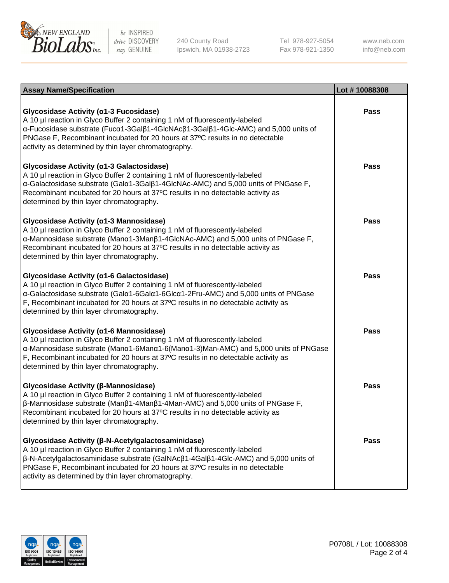

240 County Road Ipswich, MA 01938-2723 Tel 978-927-5054 Fax 978-921-1350

www.neb.com info@neb.com

| <b>Assay Name/Specification</b>                                                                                                                                                                                                                                                                                                                                   | Lot #10088308 |
|-------------------------------------------------------------------------------------------------------------------------------------------------------------------------------------------------------------------------------------------------------------------------------------------------------------------------------------------------------------------|---------------|
| Glycosidase Activity (α1-3 Fucosidase)<br>A 10 µl reaction in Glyco Buffer 2 containing 1 nM of fluorescently-labeled<br>α-Fucosidase substrate (Fucα1-3Galβ1-4GlcNAcβ1-3Galβ1-4Glc-AMC) and 5,000 units of<br>PNGase F, Recombinant incubated for 20 hours at 37°C results in no detectable<br>activity as determined by thin layer chromatography.              | Pass          |
| Glycosidase Activity (α1-3 Galactosidase)<br>A 10 µl reaction in Glyco Buffer 2 containing 1 nM of fluorescently-labeled<br>α-Galactosidase substrate (Galα1-3Galβ1-4GlcNAc-AMC) and 5,000 units of PNGase F,<br>Recombinant incubated for 20 hours at 37°C results in no detectable activity as<br>determined by thin layer chromatography.                      | Pass          |
| Glycosidase Activity (α1-3 Mannosidase)<br>A 10 µl reaction in Glyco Buffer 2 containing 1 nM of fluorescently-labeled<br>α-Mannosidase substrate (Manα1-3Manβ1-4GlcNAc-AMC) and 5,000 units of PNGase F,<br>Recombinant incubated for 20 hours at 37°C results in no detectable activity as<br>determined by thin layer chromatography.                          | Pass          |
| Glycosidase Activity (a1-6 Galactosidase)<br>A 10 µl reaction in Glyco Buffer 2 containing 1 nM of fluorescently-labeled<br>α-Galactosidase substrate (Galα1-6Galα1-6Glcα1-2Fru-AMC) and 5,000 units of PNGase<br>F, Recombinant incubated for 20 hours at 37°C results in no detectable activity as<br>determined by thin layer chromatography.                  | <b>Pass</b>   |
| Glycosidase Activity (α1-6 Mannosidase)<br>A 10 µl reaction in Glyco Buffer 2 containing 1 nM of fluorescently-labeled<br>α-Mannosidase substrate (Manα1-6Manα1-6(Manα1-3)Man-AMC) and 5,000 units of PNGase<br>F, Recombinant incubated for 20 hours at 37°C results in no detectable activity as<br>determined by thin layer chromatography.                    | Pass          |
| Glycosidase Activity (β-Mannosidase)<br>A 10 µl reaction in Glyco Buffer 2 containing 1 nM of fluorescently-labeled<br>$\beta$ -Mannosidase substrate (Man $\beta$ 1-4Man $\beta$ 1-4Man-AMC) and 5,000 units of PNGase F,<br>Recombinant incubated for 20 hours at 37°C results in no detectable activity as<br>determined by thin layer chromatography.         | Pass          |
| Glycosidase Activity (β-N-Acetylgalactosaminidase)<br>A 10 µl reaction in Glyco Buffer 2 containing 1 nM of fluorescently-labeled<br>β-N-Acetylgalactosaminidase substrate (GalNAcβ1-4Galβ1-4Glc-AMC) and 5,000 units of<br>PNGase F, Recombinant incubated for 20 hours at 37°C results in no detectable<br>activity as determined by thin layer chromatography. | Pass          |

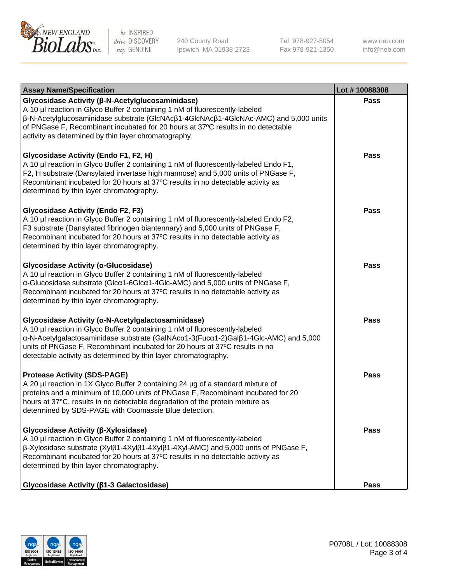

240 County Road Ipswich, MA 01938-2723 Tel 978-927-5054 Fax 978-921-1350 www.neb.com info@neb.com

| <b>Assay Name/Specification</b>                                                                                                                                                                                                                                                                                                                                            | Lot #10088308 |
|----------------------------------------------------------------------------------------------------------------------------------------------------------------------------------------------------------------------------------------------------------------------------------------------------------------------------------------------------------------------------|---------------|
| Glycosidase Activity (β-N-Acetylglucosaminidase)<br>A 10 µl reaction in Glyco Buffer 2 containing 1 nM of fluorescently-labeled<br>β-N-Acetylglucosaminidase substrate (GlcNAcβ1-4GlcNAcβ1-4GlcNAc-AMC) and 5,000 units<br>of PNGase F, Recombinant incubated for 20 hours at 37°C results in no detectable<br>activity as determined by thin layer chromatography.        | Pass          |
| Glycosidase Activity (Endo F1, F2, H)<br>A 10 µl reaction in Glyco Buffer 2 containing 1 nM of fluorescently-labeled Endo F1,<br>F2, H substrate (Dansylated invertase high mannose) and 5,000 units of PNGase F,<br>Recombinant incubated for 20 hours at 37°C results in no detectable activity as<br>determined by thin layer chromatography.                           | Pass          |
| <b>Glycosidase Activity (Endo F2, F3)</b><br>A 10 µl reaction in Glyco Buffer 2 containing 1 nM of fluorescently-labeled Endo F2,<br>F3 substrate (Dansylated fibrinogen biantennary) and 5,000 units of PNGase F,<br>Recombinant incubated for 20 hours at 37°C results in no detectable activity as<br>determined by thin layer chromatography.                          | Pass          |
| Glycosidase Activity (α-Glucosidase)<br>A 10 µl reaction in Glyco Buffer 2 containing 1 nM of fluorescently-labeled<br>α-Glucosidase substrate (Glcα1-6Glcα1-4Glc-AMC) and 5,000 units of PNGase F,<br>Recombinant incubated for 20 hours at 37°C results in no detectable activity as<br>determined by thin layer chromatography.                                         | Pass          |
| Glycosidase Activity (α-N-Acetylgalactosaminidase)<br>A 10 µl reaction in Glyco Buffer 2 containing 1 nM of fluorescently-labeled<br>α-N-Acetylgalactosaminidase substrate (GalNAcα1-3(Fucα1-2)Galβ1-4Glc-AMC) and 5,000<br>units of PNGase F, Recombinant incubated for 20 hours at 37°C results in no<br>detectable activity as determined by thin layer chromatography. | Pass          |
| <b>Protease Activity (SDS-PAGE)</b><br>A 20 µl reaction in 1X Glyco Buffer 2 containing 24 µg of a standard mixture of<br>proteins and a minimum of 10,000 units of PNGase F, Recombinant incubated for 20<br>hours at 37°C, results in no detectable degradation of the protein mixture as<br>determined by SDS-PAGE with Coomassie Blue detection.                       | <b>Pass</b>   |
| Glycosidase Activity (β-Xylosidase)<br>A 10 µl reaction in Glyco Buffer 2 containing 1 nM of fluorescently-labeled<br>β-Xylosidase substrate (Xylβ1-4Xylβ1-4Xylβ1-4Xyl-AMC) and 5,000 units of PNGase F,<br>Recombinant incubated for 20 hours at 37°C results in no detectable activity as<br>determined by thin layer chromatography.                                    | <b>Pass</b>   |
| Glycosidase Activity ( $\beta$ 1-3 Galactosidase)                                                                                                                                                                                                                                                                                                                          | Pass          |